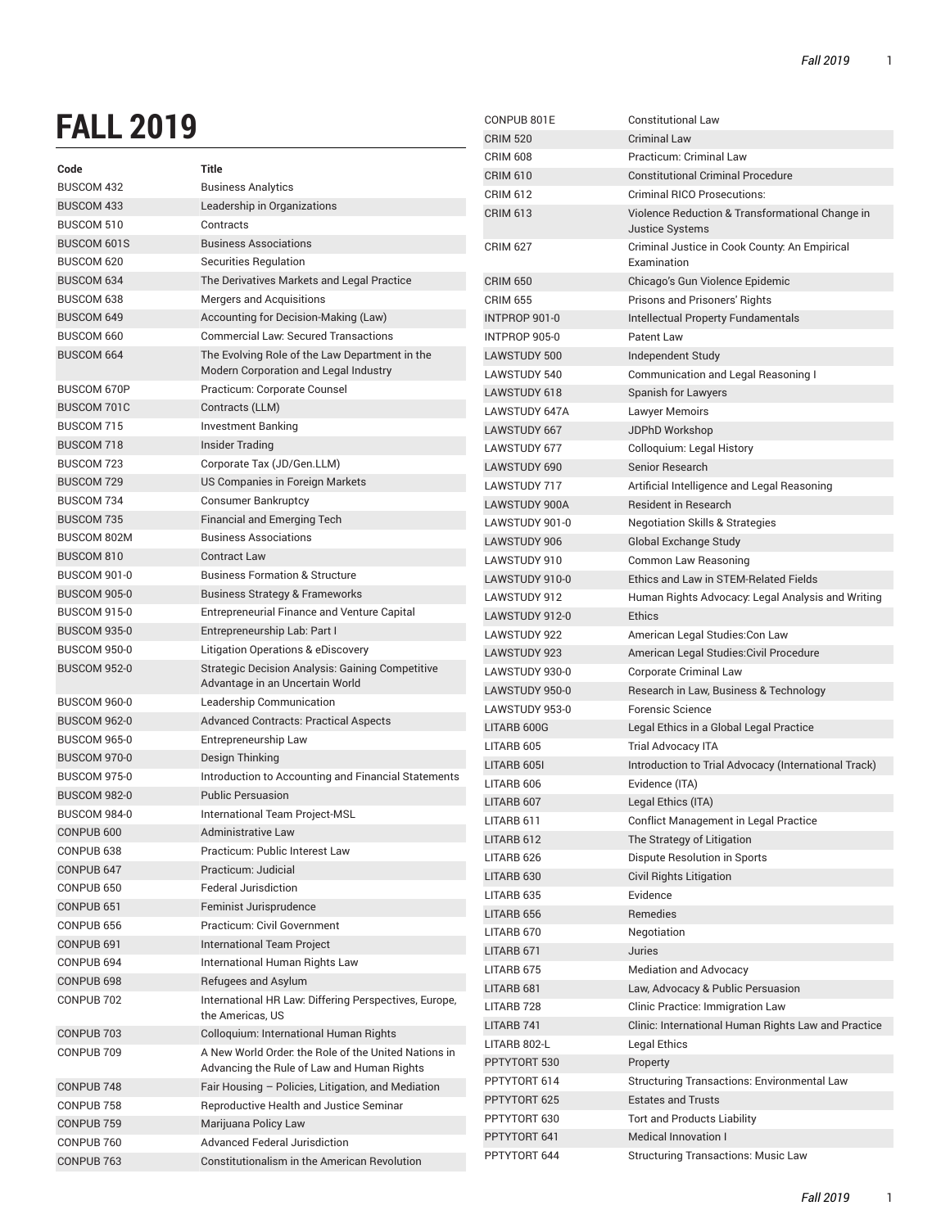## **FALL 2019**

| ALL LV I J                       |                                                         | <b>CRIM 520</b>     | <b>Criminal Law</b>                                          |
|----------------------------------|---------------------------------------------------------|---------------------|--------------------------------------------------------------|
|                                  |                                                         | <b>CRIM 608</b>     | <b>Practicum: Criminal Law</b>                               |
| Code                             | <b>Title</b>                                            | <b>CRIM 610</b>     | <b>Constitutional Criminal Procedure</b>                     |
| <b>BUSCOM 432</b>                | <b>Business Analytics</b>                               | <b>CRIM 612</b>     | <b>Criminal RICO Prosecutions:</b>                           |
| <b>BUSCOM 433</b>                | Leadership in Organizations                             | <b>CRIM 613</b>     | Violence Reduction & Transformational Change in              |
| <b>BUSCOM 510</b>                | Contracts                                               |                     | <b>Justice Systems</b>                                       |
| <b>BUSCOM 601S</b><br>BUSCOM 620 | <b>Business Associations</b><br>Securities Regulation   | <b>CRIM 627</b>     | Criminal Justice in Cook County: An Empirical<br>Examination |
| BUSCOM 634                       | The Derivatives Markets and Legal Practice              | <b>CRIM 650</b>     | Chicago's Gun Violence Epidemic                              |
| BUSCOM 638                       | Mergers and Acquisitions                                | <b>CRIM 655</b>     | Prisons and Prisoners' Rights                                |
| <b>BUSCOM 649</b>                | Accounting for Decision-Making (Law)                    | INTPROP 901-0       | Intellectual Property Fundamentals                           |
| BUSCOM 660                       | <b>Commercial Law: Secured Transactions</b>             | INTPROP 905-0       | Patent Law                                                   |
| <b>BUSCOM 664</b>                | The Evolving Role of the Law Department in the          | <b>LAWSTUDY 500</b> | Independent Study                                            |
|                                  | Modern Corporation and Legal Industry                   | LAWSTUDY 540        | Communication and Legal Reasoning I                          |
| <b>BUSCOM 670P</b>               | Practicum: Corporate Counsel                            | LAWSTUDY 618        | Spanish for Lawyers                                          |
| <b>BUSCOM 701C</b>               | Contracts (LLM)                                         | LAWSTUDY 647A       | <b>Lawyer Memoirs</b>                                        |
| BUSCOM 715                       | <b>Investment Banking</b>                               | LAWSTUDY 667        | JDPhD Workshop                                               |
| <b>BUSCOM 718</b>                | <b>Insider Trading</b>                                  | LAWSTUDY 677        | Colloquium: Legal History                                    |
| BUSCOM 723                       | Corporate Tax (JD/Gen.LLM)                              | <b>LAWSTUDY 690</b> | Senior Research                                              |
| <b>BUSCOM 729</b>                | US Companies in Foreign Markets                         | <b>LAWSTUDY 717</b> | Artificial Intelligence and Legal Reasoning                  |
| BUSCOM 734                       | <b>Consumer Bankruptcy</b>                              | LAWSTUDY 900A       | <b>Resident in Research</b>                                  |
| <b>BUSCOM 735</b>                | <b>Financial and Emerging Tech</b>                      | LAWSTUDY 901-0      | <b>Negotiation Skills &amp; Strategies</b>                   |
| <b>BUSCOM 802M</b>               | <b>Business Associations</b>                            | <b>LAWSTUDY 906</b> | Global Exchange Study                                        |
| BUSCOM 810                       | <b>Contract Law</b>                                     | LAWSTUDY 910        | Common Law Reasoning                                         |
| <b>BUSCOM 901-0</b>              | <b>Business Formation &amp; Structure</b>               | LAWSTUDY 910-0      | Ethics and Law in STEM-Related Fields                        |
| <b>BUSCOM 905-0</b>              | <b>Business Strategy &amp; Frameworks</b>               | LAWSTUDY 912        | Human Rights Advocacy: Legal Analysis and Writing            |
| <b>BUSCOM 915-0</b>              | <b>Entrepreneurial Finance and Venture Capital</b>      | LAWSTUDY 912-0      | <b>Ethics</b>                                                |
| <b>BUSCOM 935-0</b>              | Entrepreneurship Lab: Part I                            | LAWSTUDY 922        | American Legal Studies: Con Law                              |
| <b>BUSCOM 950-0</b>              | Litigation Operations & eDiscovery                      | LAWSTUDY 923        | American Legal Studies: Civil Procedure                      |
| <b>BUSCOM 952-0</b>              | <b>Strategic Decision Analysis: Gaining Competitive</b> | LAWSTUDY 930-0      | <b>Corporate Criminal Law</b>                                |
|                                  | Advantage in an Uncertain World                         | LAWSTUDY 950-0      | Research in Law, Business & Technology                       |
| <b>BUSCOM 960-0</b>              | Leadership Communication                                | LAWSTUDY 953-0      | Forensic Science                                             |
| <b>BUSCOM 962-0</b>              | <b>Advanced Contracts: Practical Aspects</b>            | LITARB 600G         | Legal Ethics in a Global Legal Practice                      |
| <b>BUSCOM 965-0</b>              | Entrepreneurship Law                                    | LITARB 605          | <b>Trial Advocacy ITA</b>                                    |
| BUSCOM 970-0                     | Design Thinking                                         | LITARB 605I         | Introduction to Trial Advocacy (International Track)         |
| <b>BUSCOM 975-0</b>              | Introduction to Accounting and Financial Statements     | LITARB 606          | Evidence (ITA)                                               |
| <b>BUSCOM 982-0</b>              | <b>Public Persuasion</b>                                | LITARB 607          | Legal Ethics (ITA)                                           |
| BUSCOM 984-0                     | International Team Project-MSL                          | LITARB 611          | Conflict Management in Legal Practice                        |
| CONPUB <sub>600</sub>            | Administrative Law                                      | LITARB 612          | The Strategy of Litigation                                   |
| CONPUB <sub>638</sub>            | Practicum: Public Interest Law                          | LITARB 626          | <b>Dispute Resolution in Sports</b>                          |
| CONPUB 647                       | Practicum: Judicial                                     | LITARB 630          | Civil Rights Litigation                                      |
| CONPUB 650                       | Federal Jurisdiction                                    | LITARB 635          | Evidence                                                     |
| CONPUB <sub>651</sub>            | Feminist Jurisprudence                                  | LITARB 656          | Remedies                                                     |
| CONPUB 656                       | Practicum: Civil Government                             | LITARB 670          | Negotiation                                                  |
| CONPUB <sub>691</sub>            | International Team Project                              | LITARB 671          | Juries                                                       |
| CONPUB 694                       | International Human Rights Law                          | LITARB 675          | <b>Mediation and Advocacy</b>                                |
| CONPUB 698                       | Refugees and Asylum                                     | LITARB 681          | Law, Advocacy & Public Persuasion                            |
| CONPUB 702                       | International HR Law: Differing Perspectives, Europe,   | LITARB 728          | Clinic Practice: Immigration Law                             |
|                                  | the Americas, US                                        | LITARB 741          | Clinic: International Human Rights Law and Practice          |
| CONPUB 703                       | Colloquium: International Human Rights                  | LITARB 802-L        | Legal Ethics                                                 |
| CONPUB 709                       | A New World Order, the Role of the United Nations in    | PPTYTORT 530        | Property                                                     |
|                                  | Advancing the Rule of Law and Human Rights              | PPTYTORT 614        | Structuring Transactions: Environmental Law                  |
| CONPUB <sub>748</sub>            | Fair Housing - Policies, Litigation, and Mediation      | PPTYTORT 625        | <b>Estates and Trusts</b>                                    |
| CONPUB 758                       | Reproductive Health and Justice Seminar                 | PPTYTORT 630        | <b>Tort and Products Liability</b>                           |
| CONPUB <sub>759</sub>            | Marijuana Policy Law                                    | PPTYTORT 641        | Medical Innovation I                                         |
| CONPUB 760                       | <b>Advanced Federal Jurisdiction</b>                    | PPTYTORT 644        | <b>Structuring Transactions: Music Law</b>                   |
| CONPUB 763                       | Constitutionalism in the American Revolution            |                     |                                                              |

CONPUB 801E Constitutional Law